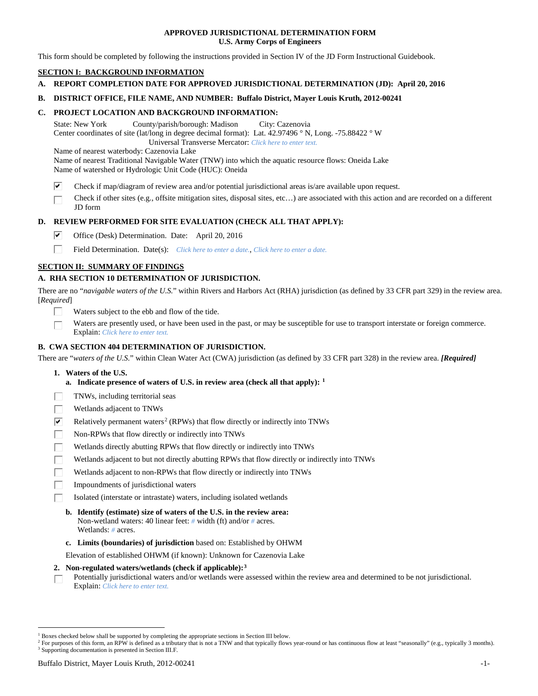## **APPROVED JURISDICTIONAL DETERMINATION FORM U.S. Army Corps of Engineers**

This form should be completed by following the instructions provided in Section IV of the JD Form Instructional Guidebook.

## **SECTION I: BACKGROUND INFORMATION**

**A. REPORT COMPLETION DATE FOR APPROVED JURISDICTIONAL DETERMINATION (JD): April 20, 2016**

### **B. DISTRICT OFFICE, FILE NAME, AND NUMBER: Buffalo District, Mayer Louis Kruth, 2012-00241**

## **C. PROJECT LOCATION AND BACKGROUND INFORMATION:**

State: New York County/parish/borough: Madison City: Cazenovia Center coordinates of site (lat/long in degree decimal format): Lat. 42.97496 ° N, Long. -75.88422 ° W Universal Transverse Mercator: *Click here to enter text.*

Name of nearest waterbody: Cazenovia Lake

Name of nearest Traditional Navigable Water (TNW) into which the aquatic resource flows: Oneida Lake Name of watershed or Hydrologic Unit Code (HUC): Oneida

- ☑ Check if map/diagram of review area and/or potential jurisdictional areas is/are available upon request.
- Check if other sites (e.g., offsite mitigation sites, disposal sites, etc…) are associated with this action and are recorded on a different JD form

## **D. REVIEW PERFORMED FOR SITE EVALUATION (CHECK ALL THAT APPLY):**

- ⊽ Office (Desk) Determination. Date: April 20, 2016
- п Field Determination. Date(s): *Click here to enter a date.*, *Click here to enter a date.*

## **SECTION II: SUMMARY OF FINDINGS**

## **A. RHA SECTION 10 DETERMINATION OF JURISDICTION.**

There are no "*navigable waters of the U.S.*" within Rivers and Harbors Act (RHA) jurisdiction (as defined by 33 CFR part 329) in the review area. [*Required*]

- Waters subject to the ebb and flow of the tide.
- Waters are presently used, or have been used in the past, or may be susceptible for use to transport interstate or foreign commerce. Explain: *Click here to enter text.*

## **B. CWA SECTION 404 DETERMINATION OF JURISDICTION.**

There are "*waters of the U.S.*" within Clean Water Act (CWA) jurisdiction (as defined by 33 CFR part 328) in the review area. *[Required]*

- **1. Waters of the U.S.**
	- **a. Indicate presence of waters of U.S. in review area (check all that apply): [1](#page-0-0)**
- TNWs, including territorial seas
- Wetlands adjacent to TNWs
- $\overline{\mathbf{v}}$ Relatively permanent waters<sup>[2](#page-0-1)</sup> (RPWs) that flow directly or indirectly into TNWs
- П Non-RPWs that flow directly or indirectly into TNWs
- Wetlands directly abutting RPWs that flow directly or indirectly into TNWs
- Wetlands adjacent to but not directly abutting RPWs that flow directly or indirectly into TNWs
- Wetlands adjacent to non-RPWs that flow directly or indirectly into TNWs
- Impoundments of jurisdictional waters
- Isolated (interstate or intrastate) waters, including isolated wetlands
	- **b. Identify (estimate) size of waters of the U.S. in the review area:** Non-wetland waters: 40 linear feet: *#* width (ft) and/or *#* acres. Wetlands: *#* acres.
	- **c. Limits (boundaries) of jurisdiction** based on: Established by OHWM

Elevation of established OHWM (if known): Unknown for Cazenovia Lake

#### **2. Non-regulated waters/wetlands (check if applicable):[3](#page-0-2)**

Potentially jurisdictional waters and/or wetlands were assessed within the review area and determined to be not jurisdictional. П Explain: *Click here to enter text.*

<span id="page-0-0"></span> <sup>1</sup> Boxes checked below shall be supported by completing the appropriate sections in Section III below.

<span id="page-0-2"></span><span id="page-0-1"></span><sup>&</sup>lt;sup>2</sup> For purposes of this form, an RPW is defined as a tributary that is not a TNW and that typically flows year-round or has continuous flow at least "seasonally" (e.g., typically 3 months). <sup>3</sup> Supporting documentation is presented in Section III.F.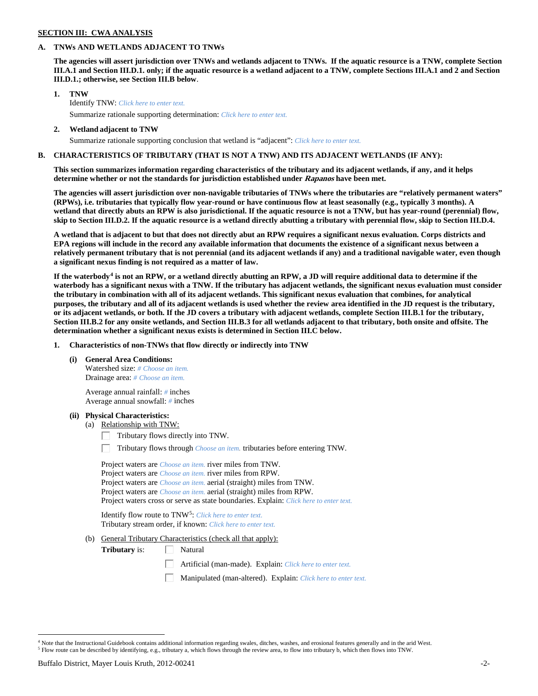## **SECTION III: CWA ANALYSIS**

### **A. TNWs AND WETLANDS ADJACENT TO TNWs**

**The agencies will assert jurisdiction over TNWs and wetlands adjacent to TNWs. If the aquatic resource is a TNW, complete Section III.A.1 and Section III.D.1. only; if the aquatic resource is a wetland adjacent to a TNW, complete Sections III.A.1 and 2 and Section III.D.1.; otherwise, see Section III.B below**.

- **1. TNW**  Identify TNW: *Click here to enter text.*
	- Summarize rationale supporting determination: *Click here to enter text.*
- **2. Wetland adjacent to TNW** Summarize rationale supporting conclusion that wetland is "adjacent": *Click here to enter text.*

## **B. CHARACTERISTICS OF TRIBUTARY (THAT IS NOT A TNW) AND ITS ADJACENT WETLANDS (IF ANY):**

**This section summarizes information regarding characteristics of the tributary and its adjacent wetlands, if any, and it helps determine whether or not the standards for jurisdiction established under Rapanos have been met.** 

**The agencies will assert jurisdiction over non-navigable tributaries of TNWs where the tributaries are "relatively permanent waters" (RPWs), i.e. tributaries that typically flow year-round or have continuous flow at least seasonally (e.g., typically 3 months). A wetland that directly abuts an RPW is also jurisdictional. If the aquatic resource is not a TNW, but has year-round (perennial) flow, skip to Section III.D.2. If the aquatic resource is a wetland directly abutting a tributary with perennial flow, skip to Section III.D.4.**

**A wetland that is adjacent to but that does not directly abut an RPW requires a significant nexus evaluation. Corps districts and EPA regions will include in the record any available information that documents the existence of a significant nexus between a relatively permanent tributary that is not perennial (and its adjacent wetlands if any) and a traditional navigable water, even though a significant nexus finding is not required as a matter of law.**

**If the waterbody[4](#page-1-0) is not an RPW, or a wetland directly abutting an RPW, a JD will require additional data to determine if the waterbody has a significant nexus with a TNW. If the tributary has adjacent wetlands, the significant nexus evaluation must consider the tributary in combination with all of its adjacent wetlands. This significant nexus evaluation that combines, for analytical purposes, the tributary and all of its adjacent wetlands is used whether the review area identified in the JD request is the tributary, or its adjacent wetlands, or both. If the JD covers a tributary with adjacent wetlands, complete Section III.B.1 for the tributary, Section III.B.2 for any onsite wetlands, and Section III.B.3 for all wetlands adjacent to that tributary, both onsite and offsite. The determination whether a significant nexus exists is determined in Section III.C below.**

**1. Characteristics of non-TNWs that flow directly or indirectly into TNW**

**(i) General Area Conditions:**

Watershed size: *# Choose an item.* Drainage area: *# Choose an item.*

Average annual rainfall: *#* inches Average annual snowfall: *#* inches

#### **(ii) Physical Characteristics:**

- (a) Relationship with TNW:
	- Tributary flows directly into TNW. Г.

Tributary flows through *Choose an item.* tributaries before entering TNW.

Project waters are *Choose an item.* river miles from TNW. Project waters are *Choose an item.* river miles from RPW. Project waters are *Choose an item.* aerial (straight) miles from TNW. Project waters are *Choose an item.* aerial (straight) miles from RPW. Project waters cross or serve as state boundaries. Explain: *Click here to enter text.*

Identify flow route to TNW[5:](#page-1-1) *Click here to enter text.* Tributary stream order, if known: *Click here to enter text.*

(b) General Tributary Characteristics (check all that apply):

**Tributary** is:  $\Box$  Natural

- Artificial (man-made). Explain: *Click here to enter text.*
- Manipulated (man-altered). Explain: *Click here to enter text.*

<span id="page-1-1"></span><span id="page-1-0"></span><sup>&</sup>lt;sup>4</sup> Note that the Instructional Guidebook contains additional information regarding swales, ditches, washes, and erosional features generally and in the arid West. <sup>5</sup> Flow route can be described by identifying, e.g., tributary a, which flows through the review area, to flow into tributary b, which then flows into TNW.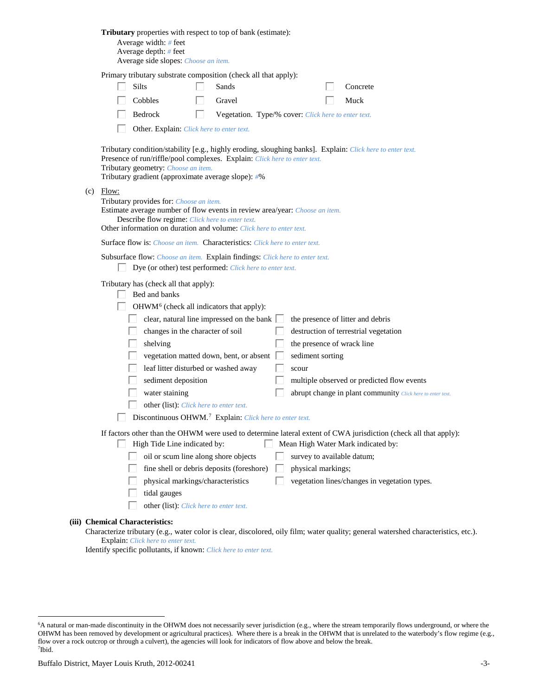| Tributary properties with respect to top of bank (estimate):<br>Average width: # feet<br>Average depth: $#$ feet<br>Average side slopes: Choose an item.                                                                                                                                                                                                                                                                                                                                                                                                                                                                                                                                                                                                                                                                                                                                                                                                              |
|-----------------------------------------------------------------------------------------------------------------------------------------------------------------------------------------------------------------------------------------------------------------------------------------------------------------------------------------------------------------------------------------------------------------------------------------------------------------------------------------------------------------------------------------------------------------------------------------------------------------------------------------------------------------------------------------------------------------------------------------------------------------------------------------------------------------------------------------------------------------------------------------------------------------------------------------------------------------------|
| Primary tributary substrate composition (check all that apply):<br><b>Silts</b><br>Sands<br>Concrete<br>Cobbles<br>Gravel<br>Muck<br>Bedrock<br>Vegetation. Type/% cover: Click here to enter text.<br>L.<br>Other. Explain: Click here to enter text.<br>Tributary condition/stability [e.g., highly eroding, sloughing banks]. Explain: Click here to enter text.                                                                                                                                                                                                                                                                                                                                                                                                                                                                                                                                                                                                   |
| Presence of run/riffle/pool complexes. Explain: Click here to enter text.<br>Tributary geometry: Choose an item.<br>Tributary gradient (approximate average slope): #%<br>$(c)$ Flow:<br>Tributary provides for: Choose an item.<br>Estimate average number of flow events in review area/year: Choose an item.<br>Describe flow regime: Click here to enter text.<br>Other information on duration and volume: Click here to enter text.                                                                                                                                                                                                                                                                                                                                                                                                                                                                                                                             |
| <b>Surface flow is:</b> Choose an item. <b>Characteristics:</b> Click here to enter text.<br>Subsurface flow: Choose an item. Explain findings: Click here to enter text.<br>Dye (or other) test performed: Click here to enter text.<br>Tributary has (check all that apply):<br>Bed and banks<br>OHWM <sup>6</sup> (check all indicators that apply):<br>clear, natural line impressed on the bank $\Box$<br>the presence of litter and debris<br>changes in the character of soil<br>destruction of terrestrial vegetation<br>the presence of wrack line<br>shelving<br>vegetation matted down, bent, or absent<br>sediment sorting<br>leaf litter disturbed or washed away<br>scour<br>sediment deposition<br>multiple observed or predicted flow events<br>water staining<br>abrupt change in plant community Click here to enter text.<br>other (list): Click here to enter text.<br>$\Box$ Discontinuous OHWM. <sup>7</sup> Explain: Click here to enter text. |
| If factors other than the OHWM were used to determine lateral extent of CWA jurisdiction (check all that apply):<br>High Tide Line indicated by:<br>Mean High Water Mark indicated by:<br>L<br>oil or scum line along shore objects<br>survey to available datum;<br>fine shell or debris deposits (foreshore)<br>physical markings;<br>physical markings/characteristics<br>vegetation lines/changes in vegetation types.<br>tidal gauges<br>other (list): Click here to enter text.<br>(iii) Chemical Characteristics:<br>$Choractaria tributori (a, a, water color is clear, diccolored, oily film; water quality, general waterched characteristics$                                                                                                                                                                                                                                                                                                              |

Characterize tributary (e.g., water color is clear, discolored, oily film; water quality; general watershed characteristics, etc.). Explain: *Click here to enter text.*

Identify specific pollutants, if known: *Click here to enter text.*

<span id="page-2-1"></span><span id="page-2-0"></span> <sup>6</sup> <sup>6</sup>A natural or man-made discontinuity in the OHWM does not necessarily sever jurisdiction (e.g., where the stream temporarily flows underground, or where the OHWM has been removed by development or agricultural practices). Where there is a break in the OHWM that is unrelated to the waterbody's flow regime (e.g., flow over a rock outcrop or through a culvert), the agencies will look for indicators of flow above and below the break. 7 Ibid.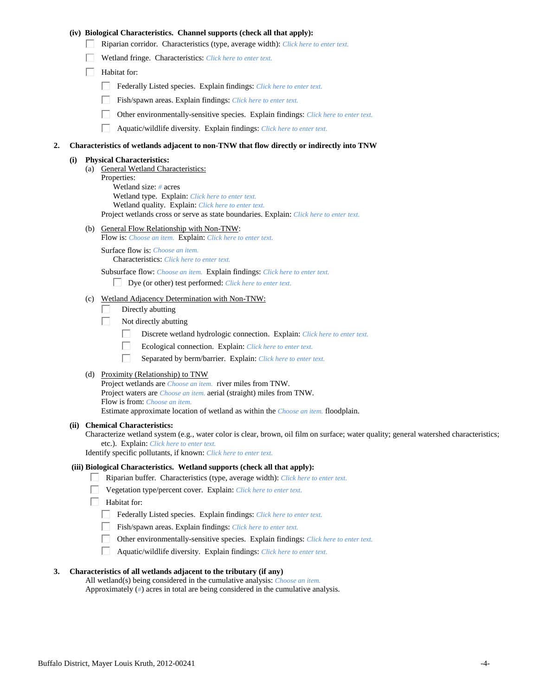## **(iv) Biological Characteristics. Channel supports (check all that apply):**

- Riparian corridor. Characteristics (type, average width): *Click here to enter text.*
- Wetland fringe. Characteristics: *Click here to enter text.*
- $\Box$  Habitat for:
	- Federally Listed species. Explain findings: *Click here to enter text.*
	- Fish/spawn areas. Explain findings: *Click here to enter text.*
	- Other environmentally-sensitive species. Explain findings: *Click here to enter text.*
	- $\Box$ Aquatic/wildlife diversity. Explain findings: *Click here to enter text.*

#### **2. Characteristics of wetlands adjacent to non-TNW that flow directly or indirectly into TNW**

#### **(i) Physical Characteristics:**

(a) General Wetland Characteristics: Properties: Wetland size: *#* acres Wetland type. Explain: *Click here to enter text.* Wetland quality. Explain: *Click here to enter text.* Project wetlands cross or serve as state boundaries. Explain: *Click here to enter text.*

(b) General Flow Relationship with Non-TNW:

Flow is: *Choose an item.* Explain: *Click here to enter text.*

Surface flow is: *Choose an item.* Characteristics: *Click here to enter text.*

Subsurface flow: *Choose an item.* Explain findings: *Click here to enter text.*

- Dye (or other) test performed: *Click here to enter text.*
- (c) Wetland Adjacency Determination with Non-TNW:
	- Directly abutting П.
	- П. Not directly abutting
		- П. Discrete wetland hydrologic connection. Explain: *Click here to enter text.*
		- П. Ecological connection. Explain: *Click here to enter text.*
		- П. Separated by berm/barrier. Explain: *Click here to enter text.*
- (d) Proximity (Relationship) to TNW

Project wetlands are *Choose an item.* river miles from TNW. Project waters are *Choose an item.* aerial (straight) miles from TNW. Flow is from: *Choose an item.* Estimate approximate location of wetland as within the *Choose an item.* floodplain.

#### **(ii) Chemical Characteristics:**

Characterize wetland system (e.g., water color is clear, brown, oil film on surface; water quality; general watershed characteristics; etc.). Explain: *Click here to enter text.*

Identify specific pollutants, if known: *Click here to enter text.*

#### **(iii) Biological Characteristics. Wetland supports (check all that apply):**

- Riparian buffer. Characteristics (type, average width): *Click here to enter text.*
	- Vegetation type/percent cover. Explain: *Click here to enter text.*
	- Habitat for:
		- Federally Listed species. Explain findings: *Click here to enter text*.
		- Fish/spawn areas. Explain findings: *Click here to enter text.*
		- Other environmentally-sensitive species. Explain findings: *Click here to enter text.*  $\Box$
		- $\Box$ Aquatic/wildlife diversity. Explain findings: *Click here to enter text.*

## **3. Characteristics of all wetlands adjacent to the tributary (if any)**

All wetland(s) being considered in the cumulative analysis: *Choose an item.* Approximately (*#*) acres in total are being considered in the cumulative analysis.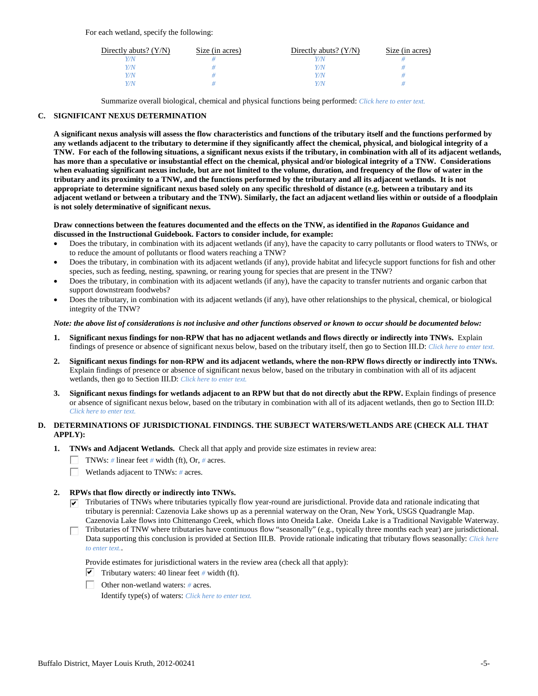For each wetland, specify the following:

| Directly abuts? $(Y/N)$ | Size (in acres) | Directly abuts? $(Y/N)$ | Size (in acres) |
|-------------------------|-----------------|-------------------------|-----------------|
|                         |                 |                         |                 |
| V/N                     |                 | Y/N                     |                 |
| V/N                     |                 | Y/N                     |                 |
|                         |                 | Y/N                     |                 |

Summarize overall biological, chemical and physical functions being performed: *Click here to enter text.*

## **C. SIGNIFICANT NEXUS DETERMINATION**

**A significant nexus analysis will assess the flow characteristics and functions of the tributary itself and the functions performed by any wetlands adjacent to the tributary to determine if they significantly affect the chemical, physical, and biological integrity of a TNW. For each of the following situations, a significant nexus exists if the tributary, in combination with all of its adjacent wetlands, has more than a speculative or insubstantial effect on the chemical, physical and/or biological integrity of a TNW. Considerations when evaluating significant nexus include, but are not limited to the volume, duration, and frequency of the flow of water in the tributary and its proximity to a TNW, and the functions performed by the tributary and all its adjacent wetlands. It is not appropriate to determine significant nexus based solely on any specific threshold of distance (e.g. between a tributary and its adjacent wetland or between a tributary and the TNW). Similarly, the fact an adjacent wetland lies within or outside of a floodplain is not solely determinative of significant nexus.** 

#### **Draw connections between the features documented and the effects on the TNW, as identified in the** *Rapanos* **Guidance and discussed in the Instructional Guidebook. Factors to consider include, for example:**

- Does the tributary, in combination with its adjacent wetlands (if any), have the capacity to carry pollutants or flood waters to TNWs, or to reduce the amount of pollutants or flood waters reaching a TNW?
- Does the tributary, in combination with its adjacent wetlands (if any), provide habitat and lifecycle support functions for fish and other species, such as feeding, nesting, spawning, or rearing young for species that are present in the TNW?
- Does the tributary, in combination with its adjacent wetlands (if any), have the capacity to transfer nutrients and organic carbon that support downstream foodwebs?
- Does the tributary, in combination with its adjacent wetlands (if any), have other relationships to the physical, chemical, or biological integrity of the TNW?

#### *Note: the above list of considerations is not inclusive and other functions observed or known to occur should be documented below:*

- **1. Significant nexus findings for non-RPW that has no adjacent wetlands and flows directly or indirectly into TNWs.** Explain findings of presence or absence of significant nexus below, based on the tributary itself, then go to Section III.D: *Click here to enter text.*
- **2. Significant nexus findings for non-RPW and its adjacent wetlands, where the non-RPW flows directly or indirectly into TNWs.**  Explain findings of presence or absence of significant nexus below, based on the tributary in combination with all of its adjacent wetlands, then go to Section III.D: *Click here to enter text.*
- **3. Significant nexus findings for wetlands adjacent to an RPW but that do not directly abut the RPW.** Explain findings of presence or absence of significant nexus below, based on the tributary in combination with all of its adjacent wetlands, then go to Section III.D: *Click here to enter text.*

## **D. DETERMINATIONS OF JURISDICTIONAL FINDINGS. THE SUBJECT WATERS/WETLANDS ARE (CHECK ALL THAT APPLY):**

- **1. TNWs and Adjacent Wetlands.** Check all that apply and provide size estimates in review area:
	- TNWs: *#* linear feet *#* width (ft), Or, *#* acres.
	- $\Box$ Wetlands adjacent to TNWs: *#* acres.

## **2. RPWs that flow directly or indirectly into TNWs.**

- $\triangledown$  Tributaries of TNWs where tributaries typically flow year-round are jurisdictional. Provide data and rationale indicating that tributary is perennial: Cazenovia Lake shows up as a perennial waterway on the Oran, New York, USGS Quadrangle Map. Cazenovia Lake flows into Chittenango Creek, which flows into Oneida Lake. Oneida Lake is a Traditional Navigable Waterway.
- Tributaries of TNW where tributaries have continuous flow "seasonally" (e.g., typically three months each year) are jurisdictional. П. Data supporting this conclusion is provided at Section III.B. Provide rationale indicating that tributary flows seasonally: *Click here to enter text.*.

Provide estimates for jurisdictional waters in the review area (check all that apply):

- $\triangledown$  Tributary waters: 40 linear feet # width (ft).
- Other non-wetland waters: *#* acres.

Identify type(s) of waters: *Click here to enter text.*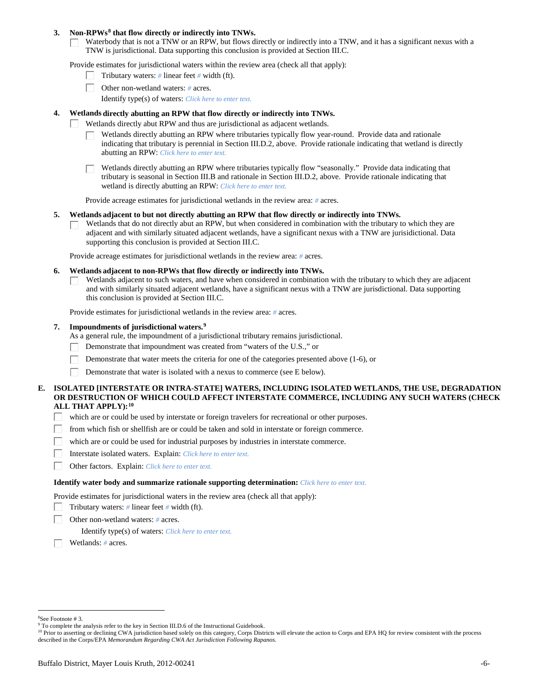### **3. Non-RPWs[8](#page-5-0) that flow directly or indirectly into TNWs.**

Waterbody that is not a TNW or an RPW, but flows directly or indirectly into a TNW, and it has a significant nexus with a TNW is jurisdictional. Data supporting this conclusion is provided at Section III.C.

Provide estimates for jurisdictional waters within the review area (check all that apply):

- Tributary waters: *#* linear feet *#* width (ft).  $\mathbf{L}$
- Other non-wetland waters: *#* acres.
	- Identify type(s) of waters: *Click here to enter text.*

### **4. Wetlands directly abutting an RPW that flow directly or indirectly into TNWs.**

- ГT. Wetlands directly abut RPW and thus are jurisdictional as adjacent wetlands.
	- Wetlands directly abutting an RPW where tributaries typically flow year-round. Provide data and rationale indicating that tributary is perennial in Section III.D.2, above. Provide rationale indicating that wetland is directly abutting an RPW: *Click here to enter text.*

Wetlands directly abutting an RPW where tributaries typically flow "seasonally." Provide data indicating that tributary is seasonal in Section III.B and rationale in Section III.D.2, above. Provide rationale indicating that wetland is directly abutting an RPW: *Click here to enter text.*

Provide acreage estimates for jurisdictional wetlands in the review area: *#* acres.

#### **5. Wetlands adjacent to but not directly abutting an RPW that flow directly or indirectly into TNWs.**

Wetlands that do not directly abut an RPW, but when considered in combination with the tributary to which they are П adjacent and with similarly situated adjacent wetlands, have a significant nexus with a TNW are jurisidictional. Data supporting this conclusion is provided at Section III.C.

Provide acreage estimates for jurisdictional wetlands in the review area: *#* acres.

#### **6. Wetlands adjacent to non-RPWs that flow directly or indirectly into TNWs.**

Wetlands adjacent to such waters, and have when considered in combination with the tributary to which they are adjacent П and with similarly situated adjacent wetlands, have a significant nexus with a TNW are jurisdictional. Data supporting this conclusion is provided at Section III.C.

Provide estimates for jurisdictional wetlands in the review area: *#* acres.

## **7. Impoundments of jurisdictional waters. [9](#page-5-1)**

As a general rule, the impoundment of a jurisdictional tributary remains jurisdictional.

- Demonstrate that impoundment was created from "waters of the U.S.," or
- Demonstrate that water meets the criteria for one of the categories presented above (1-6), or
- Demonstrate that water is isolated with a nexus to commerce (see E below). Г

## **E. ISOLATED [INTERSTATE OR INTRA-STATE] WATERS, INCLUDING ISOLATED WETLANDS, THE USE, DEGRADATION OR DESTRUCTION OF WHICH COULD AFFECT INTERSTATE COMMERCE, INCLUDING ANY SUCH WATERS (CHECK ALL THAT APPLY):[10](#page-5-2)**

- L. which are or could be used by interstate or foreign travelers for recreational or other purposes.
- from which fish or shellfish are or could be taken and sold in interstate or foreign commerce.
- which are or could be used for industrial purposes by industries in interstate commerce. П.
- Г Interstate isolated waters.Explain: *Click here to enter text.*
- П Other factors.Explain: *Click here to enter text.*

#### **Identify water body and summarize rationale supporting determination:** *Click here to enter text.*

Provide estimates for jurisdictional waters in the review area (check all that apply):

- Tributary waters: *#* linear feet *#* width (ft).
- Other non-wetland waters: *#* acres.

Identify type(s) of waters: *Click here to enter text.*

Wetlands: *#* acres.

<span id="page-5-0"></span> $\frac{1}{8}$ See Footnote # 3.

<sup>&</sup>lt;sup>9</sup> To complete the analysis refer to the key in Section III.D.6 of the Instructional Guidebook.

<span id="page-5-2"></span><span id="page-5-1"></span><sup>&</sup>lt;sup>10</sup> Prior to asserting or declining CWA jurisdiction based solely on this category, Corps Districts will elevate the action to Corps and EPA HQ for review consistent with the process described in the Corps/EPA *Memorandum Regarding CWA Act Jurisdiction Following Rapanos.*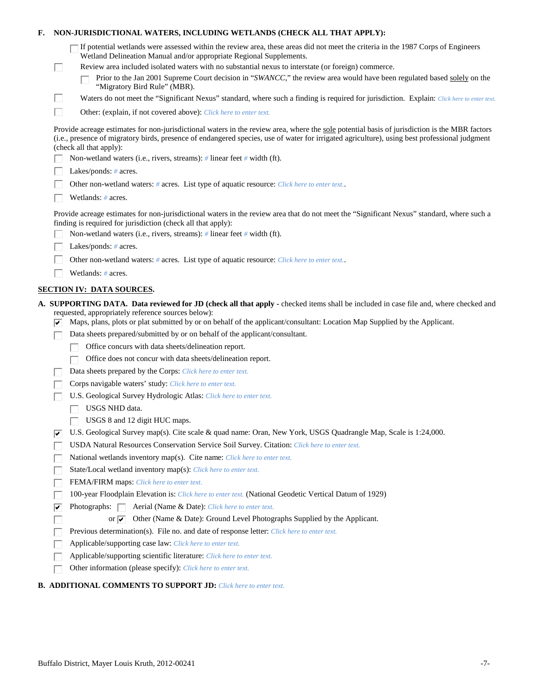| Е. |   | NON-JURISDICTIONAL WATERS, INCLUDING WETLANDS (CHECK ALL THAT APPLY):                                                                                                                                                                                                                                                     |
|----|---|---------------------------------------------------------------------------------------------------------------------------------------------------------------------------------------------------------------------------------------------------------------------------------------------------------------------------|
|    |   | If potential wetlands were assessed within the review area, these areas did not meet the criteria in the 1987 Corps of Engineers<br>Wetland Delineation Manual and/or appropriate Regional Supplements.                                                                                                                   |
|    | L | Review area included isolated waters with no substantial nexus to interstate (or foreign) commerce.                                                                                                                                                                                                                       |
|    |   | Prior to the Jan 2001 Supreme Court decision in "SWANCC," the review area would have been regulated based solely on the<br>"Migratory Bird Rule" (MBR).                                                                                                                                                                   |
|    | Ш | Waters do not meet the "Significant Nexus" standard, where such a finding is required for jurisdiction. Explain: Click here to enter text.                                                                                                                                                                                |
|    | П | Other: (explain, if not covered above): Click here to enter text.                                                                                                                                                                                                                                                         |
|    |   | Provide acreage estimates for non-jurisdictional waters in the review area, where the sole potential basis of jurisdiction is the MBR factors<br>(i.e., presence of migratory birds, presence of endangered species, use of water for irrigated agriculture), using best professional judgment<br>(check all that apply): |
|    |   | Non-wetland waters (i.e., rivers, streams): # linear feet # width (ft).                                                                                                                                                                                                                                                   |
|    |   | Lakes/ponds: $# \, \text{acres.}$                                                                                                                                                                                                                                                                                         |
|    |   | Other non-wetland waters: # acres. List type of aquatic resource: Click here to enter text                                                                                                                                                                                                                                |
|    |   | Wetlands: # acres.                                                                                                                                                                                                                                                                                                        |
|    |   | Provide acreage estimates for non-jurisdictional waters in the review area that do not meet the "Significant Nexus" standard, where such a<br>finding is required for jurisdiction (check all that apply):                                                                                                                |
|    |   | Non-wetland waters (i.e., rivers, streams): $\#$ linear feet $\#$ width (ft).                                                                                                                                                                                                                                             |
|    |   | Lakes/ponds: $# \, \text{acres.}$                                                                                                                                                                                                                                                                                         |
|    |   | Other non-wetland waters: # acres. List type of aquatic resource: Click here to enter text                                                                                                                                                                                                                                |
|    |   | Wetlands: # acres.                                                                                                                                                                                                                                                                                                        |
|    |   | <b>SECTION IV: DATA SOURCES.</b>                                                                                                                                                                                                                                                                                          |
|    |   | A. SUPPORTING DATA. Data reviewed for JD (check all that apply - checked items shall be included in case file and, where checked and                                                                                                                                                                                      |
|    |   | requested, appropriately reference sources below):<br>Maps, plans, plots or plat submitted by or on behalf of the applicant/consultant: Location Map Supplied by the Applicant.                                                                                                                                           |
|    |   | Data sheets prepared/submitted by or on behalf of the applicant/consultant.                                                                                                                                                                                                                                               |
|    |   | Office concurs with data sheets/delineation report.                                                                                                                                                                                                                                                                       |
|    |   | Office does not concur with data sheets/delineation report.                                                                                                                                                                                                                                                               |
|    |   | Data sheets prepared by the Corps: Click here to enter text.                                                                                                                                                                                                                                                              |
|    |   | Corps navigable waters' study: Click here to enter text.                                                                                                                                                                                                                                                                  |
|    |   | U.S. Geological Survey Hydrologic Atlas: Click here to enter text.                                                                                                                                                                                                                                                        |
|    |   | USGS NHD data.                                                                                                                                                                                                                                                                                                            |
|    |   | USGS 8 and 12 digit HUC maps.                                                                                                                                                                                                                                                                                             |
|    | ⊮ | U.S. Geological Survey map(s). Cite scale & quad name: Oran, New York, USGS Quadrangle Map, Scale is 1:24,000.                                                                                                                                                                                                            |
|    |   | USDA Natural Resources Conservation Service Soil Survey. Citation: Click here to enter text.                                                                                                                                                                                                                              |
|    |   | National wetlands inventory map(s). Cite name: Click here to enter text.                                                                                                                                                                                                                                                  |
|    |   | State/Local wetland inventory map(s): Click here to enter text.                                                                                                                                                                                                                                                           |
|    |   | FEMA/FIRM maps: Click here to enter text.                                                                                                                                                                                                                                                                                 |
|    |   | 100-year Floodplain Elevation is: Click here to enter text. (National Geodetic Vertical Datum of 1929)                                                                                                                                                                                                                    |
|    | ⊽ | Photographs: $\Box$<br>Aerial (Name & Date): Click here to enter text.                                                                                                                                                                                                                                                    |
|    |   | Other (Name & Date): Ground Level Photographs Supplied by the Applicant.<br>or $\overline{\mathbf{v}}$                                                                                                                                                                                                                    |
|    |   | Previous determination(s). File no. and date of response letter: Click here to enter text.                                                                                                                                                                                                                                |
|    |   | Applicable/supporting case law: Click here to enter text.                                                                                                                                                                                                                                                                 |
|    |   | Applicable/supporting scientific literature: Click here to enter text.                                                                                                                                                                                                                                                    |
|    |   | Other information (please specify): Click here to enter text.                                                                                                                                                                                                                                                             |
|    |   |                                                                                                                                                                                                                                                                                                                           |

# **B. ADDITIONAL COMMENTS TO SUPPORT JD:** *Click here to enter text.*